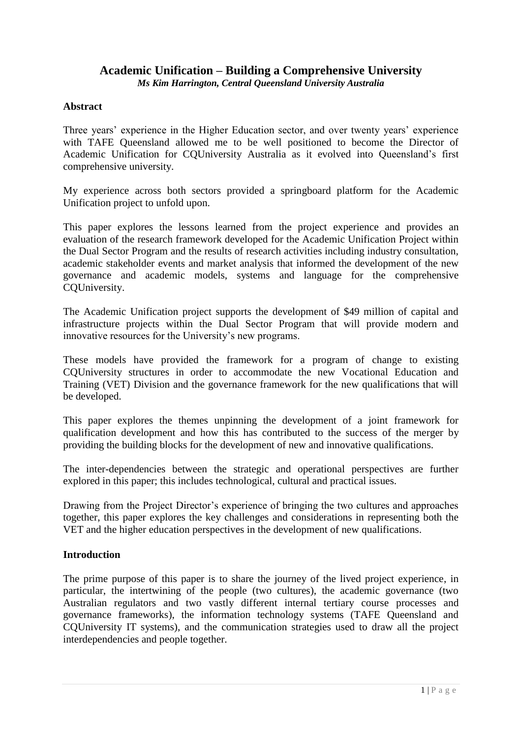# **Academic Unification – Building a Comprehensive University**

*Ms Kim Harrington, Central Queensland University Australia*

#### **Abstract**

Three years' experience in the Higher Education sector, and over twenty years' experience with TAFE Queensland allowed me to be well positioned to become the Director of Academic Unification for CQUniversity Australia as it evolved into Queensland's first comprehensive university.

My experience across both sectors provided a springboard platform for the Academic Unification project to unfold upon.

This paper explores the lessons learned from the project experience and provides an evaluation of the research framework developed for the Academic Unification Project within the Dual Sector Program and the results of research activities including industry consultation, academic stakeholder events and market analysis that informed the development of the new governance and academic models, systems and language for the comprehensive CQUniversity.

The Academic Unification project supports the development of \$49 million of capital and infrastructure projects within the Dual Sector Program that will provide modern and innovative resources for the University's new programs.

These models have provided the framework for a program of change to existing CQUniversity structures in order to accommodate the new Vocational Education and Training (VET) Division and the governance framework for the new qualifications that will be developed.

This paper explores the themes unpinning the development of a joint framework for qualification development and how this has contributed to the success of the merger by providing the building blocks for the development of new and innovative qualifications.

The inter-dependencies between the strategic and operational perspectives are further explored in this paper; this includes technological, cultural and practical issues.

Drawing from the Project Director's experience of bringing the two cultures and approaches together, this paper explores the key challenges and considerations in representing both the VET and the higher education perspectives in the development of new qualifications.

## **Introduction**

The prime purpose of this paper is to share the journey of the lived project experience, in particular, the intertwining of the people (two cultures), the academic governance (two Australian regulators and two vastly different internal tertiary course processes and governance frameworks), the information technology systems (TAFE Queensland and CQUniversity IT systems), and the communication strategies used to draw all the project interdependencies and people together.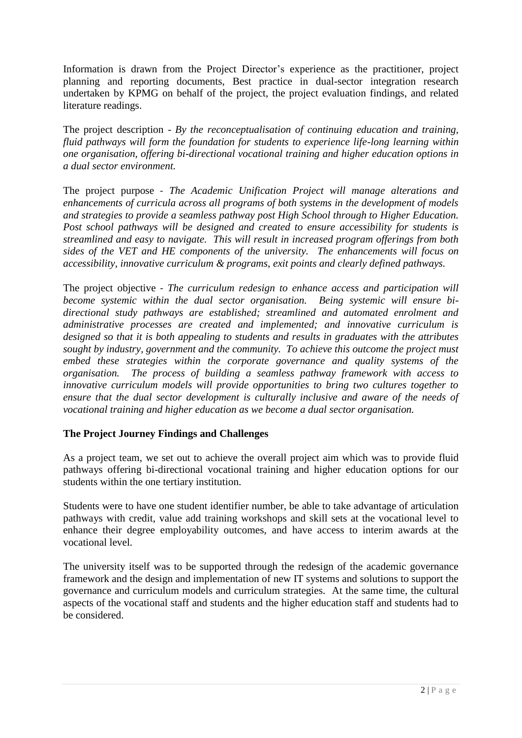Information is drawn from the Project Director's experience as the practitioner, project planning and reporting documents, Best practice in dual-sector integration research undertaken by KPMG on behalf of the project, the project evaluation findings, and related literature readings.

The project description - *By the reconceptualisation of continuing education and training, fluid pathways will form the foundation for students to experience life-long learning within one organisation, offering bi-directional vocational training and higher education options in a dual sector environment.* 

The project purpose - *The Academic Unification Project will manage alterations and enhancements of curricula across all programs of both systems in the development of models and strategies to provide a seamless pathway post High School through to Higher Education. Post school pathways will be designed and created to ensure accessibility for students is streamlined and easy to navigate. This will result in increased program offerings from both sides of the VET and HE components of the university. The enhancements will focus on accessibility, innovative curriculum & programs, exit points and clearly defined pathways.*

The project objective - *The curriculum redesign to enhance access and participation will become systemic within the dual sector organisation. Being systemic will ensure bidirectional study pathways are established; streamlined and automated enrolment and administrative processes are created and implemented; and innovative curriculum is designed so that it is both appealing to students and results in graduates with the attributes sought by industry, government and the community. To achieve this outcome the project must embed these strategies within the corporate governance and quality systems of the organisation. The process of building a seamless pathway framework with access to innovative curriculum models will provide opportunities to bring two cultures together to ensure that the dual sector development is culturally inclusive and aware of the needs of vocational training and higher education as we become a dual sector organisation.* 

## **The Project Journey Findings and Challenges**

As a project team, we set out to achieve the overall project aim which was to provide fluid pathways offering bi-directional vocational training and higher education options for our students within the one tertiary institution.

Students were to have one student identifier number, be able to take advantage of articulation pathways with credit, value add training workshops and skill sets at the vocational level to enhance their degree employability outcomes, and have access to interim awards at the vocational level.

The university itself was to be supported through the redesign of the academic governance framework and the design and implementation of new IT systems and solutions to support the governance and curriculum models and curriculum strategies. At the same time, the cultural aspects of the vocational staff and students and the higher education staff and students had to be considered.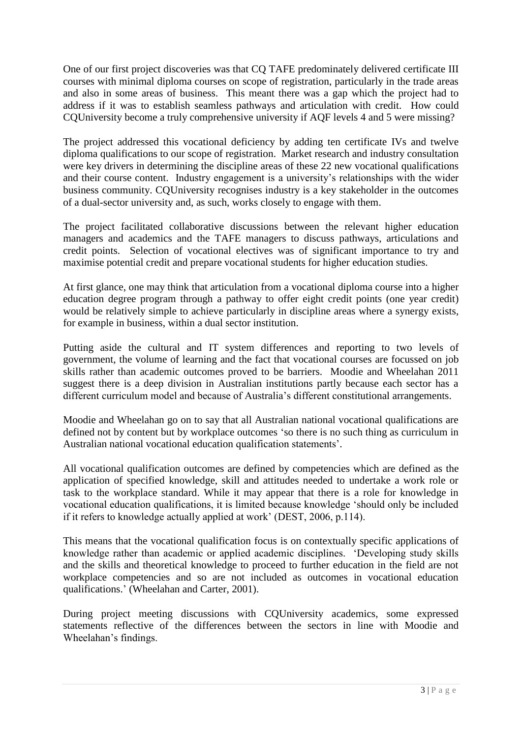One of our first project discoveries was that CQ TAFE predominately delivered certificate III courses with minimal diploma courses on scope of registration, particularly in the trade areas and also in some areas of business. This meant there was a gap which the project had to address if it was to establish seamless pathways and articulation with credit. How could CQUniversity become a truly comprehensive university if AQF levels 4 and 5 were missing?

The project addressed this vocational deficiency by adding ten certificate IVs and twelve diploma qualifications to our scope of registration. Market research and industry consultation were key drivers in determining the discipline areas of these 22 new vocational qualifications and their course content. Industry engagement is a university's relationships with the wider business community. CQUniversity recognises industry is a key stakeholder in the outcomes of a dual-sector university and, as such, works closely to engage with them.

The project facilitated collaborative discussions between the relevant higher education managers and academics and the TAFE managers to discuss pathways, articulations and credit points. Selection of vocational electives was of significant importance to try and maximise potential credit and prepare vocational students for higher education studies.

At first glance, one may think that articulation from a vocational diploma course into a higher education degree program through a pathway to offer eight credit points (one year credit) would be relatively simple to achieve particularly in discipline areas where a synergy exists, for example in business, within a dual sector institution.

Putting aside the cultural and IT system differences and reporting to two levels of government, the volume of learning and the fact that vocational courses are focussed on job skills rather than academic outcomes proved to be barriers. Moodie and Wheelahan 2011 suggest there is a deep division in Australian institutions partly because each sector has a different curriculum model and because of Australia's different constitutional arrangements.

Moodie and Wheelahan go on to say that all Australian national vocational qualifications are defined not by content but by workplace outcomes 'so there is no such thing as curriculum in Australian national vocational education qualification statements'.

All vocational qualification outcomes are defined by competencies which are defined as the application of specified knowledge, skill and attitudes needed to undertake a work role or task to the workplace standard. While it may appear that there is a role for knowledge in vocational education qualifications, it is limited because knowledge 'should only be included if it refers to knowledge actually applied at work' (DEST, 2006, p.114).

This means that the vocational qualification focus is on contextually specific applications of knowledge rather than academic or applied academic disciplines. 'Developing study skills and the skills and theoretical knowledge to proceed to further education in the field are not workplace competencies and so are not included as outcomes in vocational education qualifications.' (Wheelahan and Carter, 2001).

During project meeting discussions with CQUniversity academics, some expressed statements reflective of the differences between the sectors in line with Moodie and Wheelahan's findings.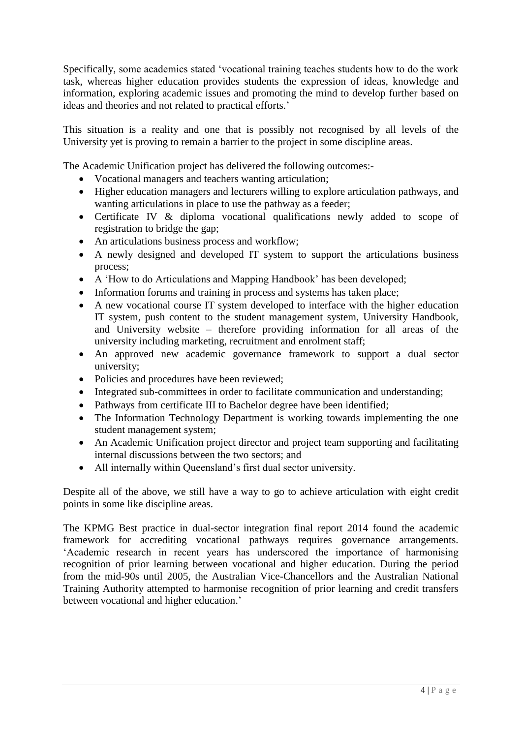Specifically, some academics stated 'vocational training teaches students how to do the work task, whereas higher education provides students the expression of ideas, knowledge and information, exploring academic issues and promoting the mind to develop further based on ideas and theories and not related to practical efforts.'

This situation is a reality and one that is possibly not recognised by all levels of the University yet is proving to remain a barrier to the project in some discipline areas.

The Academic Unification project has delivered the following outcomes:-

- Vocational managers and teachers wanting articulation;
- Higher education managers and lecturers willing to explore articulation pathways, and wanting articulations in place to use the pathway as a feeder;
- Certificate IV & diploma vocational qualifications newly added to scope of registration to bridge the gap;
- An articulations business process and workflow;
- A newly designed and developed IT system to support the articulations business process;
- A 'How to do Articulations and Mapping Handbook' has been developed;
- Information forums and training in process and systems has taken place;
- A new vocational course IT system developed to interface with the higher education IT system, push content to the student management system, University Handbook, and University website – therefore providing information for all areas of the university including marketing, recruitment and enrolment staff;
- An approved new academic governance framework to support a dual sector university;
- Policies and procedures have been reviewed;
- Integrated sub-committees in order to facilitate communication and understanding;
- Pathways from certificate III to Bachelor degree have been identified;
- The Information Technology Department is working towards implementing the one student management system;
- An Academic Unification project director and project team supporting and facilitating internal discussions between the two sectors; and
- All internally within Queensland's first dual sector university.

Despite all of the above, we still have a way to go to achieve articulation with eight credit points in some like discipline areas.

The KPMG Best practice in dual-sector integration final report 2014 found the academic framework for accrediting vocational pathways requires governance arrangements. 'Academic research in recent years has underscored the importance of harmonising recognition of prior learning between vocational and higher education. During the period from the mid-90s until 2005, the Australian Vice-Chancellors and the Australian National Training Authority attempted to harmonise recognition of prior learning and credit transfers between vocational and higher education.'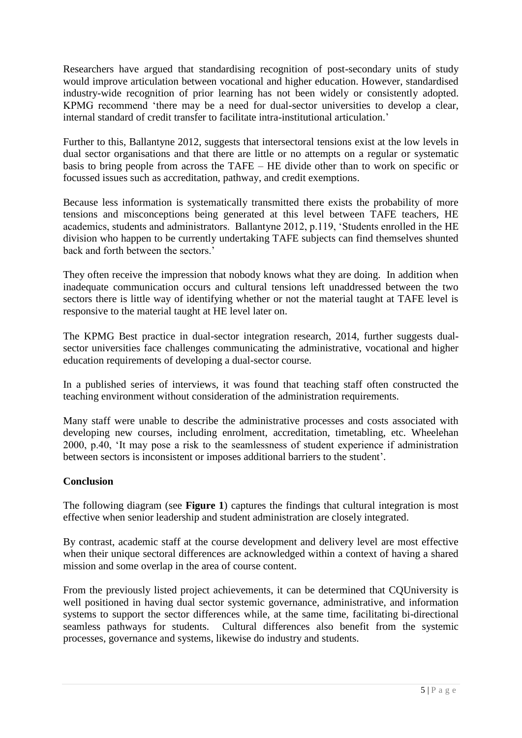Researchers have argued that standardising recognition of post-secondary units of study would improve articulation between vocational and higher education. However, standardised industry-wide recognition of prior learning has not been widely or consistently adopted. KPMG recommend 'there may be a need for dual-sector universities to develop a clear, internal standard of credit transfer to facilitate intra-institutional articulation.'

Further to this, Ballantyne 2012, suggests that intersectoral tensions exist at the low levels in dual sector organisations and that there are little or no attempts on a regular or systematic basis to bring people from across the TAFE – HE divide other than to work on specific or focussed issues such as accreditation, pathway, and credit exemptions.

Because less information is systematically transmitted there exists the probability of more tensions and misconceptions being generated at this level between TAFE teachers, HE academics, students and administrators. Ballantyne 2012, p.119, 'Students enrolled in the HE division who happen to be currently undertaking TAFE subjects can find themselves shunted back and forth between the sectors.'

They often receive the impression that nobody knows what they are doing. In addition when inadequate communication occurs and cultural tensions left unaddressed between the two sectors there is little way of identifying whether or not the material taught at TAFE level is responsive to the material taught at HE level later on.

The KPMG Best practice in dual-sector integration research, 2014, further suggests dualsector universities face challenges communicating the administrative, vocational and higher education requirements of developing a dual-sector course.

In a published series of interviews, it was found that teaching staff often constructed the teaching environment without consideration of the administration requirements.

Many staff were unable to describe the administrative processes and costs associated with developing new courses, including enrolment, accreditation, timetabling, etc. Wheelehan 2000, p.40, 'It may pose a risk to the seamlessness of student experience if administration between sectors is inconsistent or imposes additional barriers to the student'.

## **Conclusion**

The following diagram (see **Figure 1**) captures the findings that cultural integration is most effective when senior leadership and student administration are closely integrated.

By contrast, academic staff at the course development and delivery level are most effective when their unique sectoral differences are acknowledged within a context of having a shared mission and some overlap in the area of course content.

From the previously listed project achievements, it can be determined that CQUniversity is well positioned in having dual sector systemic governance, administrative, and information systems to support the sector differences while, at the same time, facilitating bi-directional seamless pathways for students. Cultural differences also benefit from the systemic processes, governance and systems, likewise do industry and students.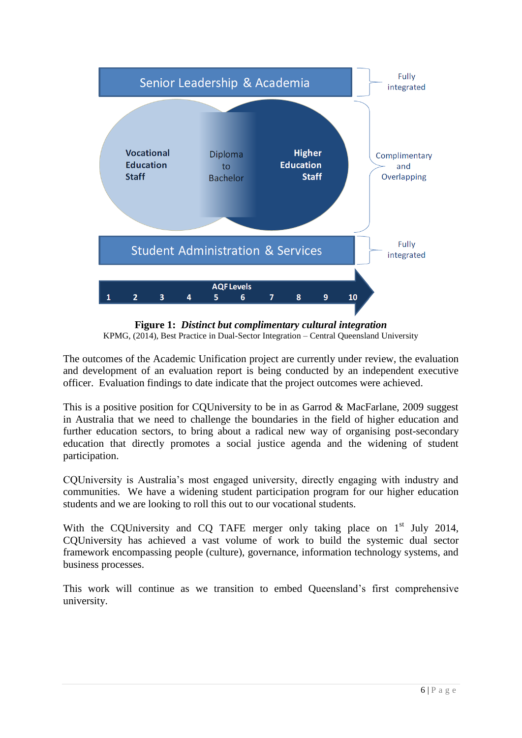

**Figure 1:** *Distinct but complimentary cultural integration* KPMG, (2014), Best Practice in Dual-Sector Integration – Central Queensland University

The outcomes of the Academic Unification project are currently under review, the evaluation and development of an evaluation report is being conducted by an independent executive officer. Evaluation findings to date indicate that the project outcomes were achieved.

This is a positive position for CQUniversity to be in as Garrod & MacFarlane, 2009 suggest in Australia that we need to challenge the boundaries in the field of higher education and further education sectors, to bring about a radical new way of organising post-secondary education that directly promotes a social justice agenda and the widening of student participation.

CQUniversity is Australia's most engaged university, directly engaging with industry and communities. We have a widening student participation program for our higher education students and we are looking to roll this out to our vocational students.

With the COUniversity and CO TAFE merger only taking place on  $1<sup>st</sup>$  July 2014, CQUniversity has achieved a vast volume of work to build the systemic dual sector framework encompassing people (culture), governance, information technology systems, and business processes.

This work will continue as we transition to embed Queensland's first comprehensive university.